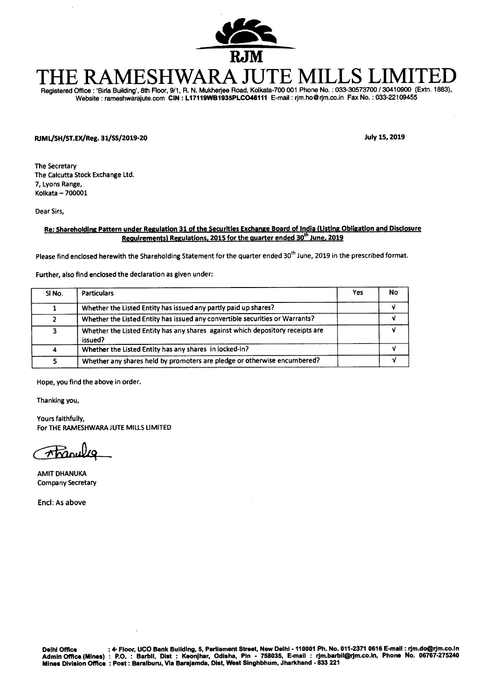

# **THE RAMESHWARA JUTE MILLS LIMITED Registered Office : 'Biqa Building', 8th Floor, 9/1, R. N. Mukheqee Road, Kolkata-700 001 Phone No. : 033-30573700 / 30410900 (Extn. 1883),**

**Website : rameshwarajute.com CIN : L17119WB1935PLC046111 E-mail : rjm.ho@rjm.co.in Fax No. : 033-22109455** 

**FUML/SH/ST.EX/Reg. 31/SS/2019-20 July 15, 2019** 

**The Secretary The Calcutta Stock Exchange Ltd. 7, Lyons Range, Kolkata — 700001** 

**Dear Sirs,** 

## **Re: Shareholding Pattern under Regulation 31 of the Securities Exchange Board of India (Listing Obligation and Disclosure Requirements) Regulations, 2015 for the quarter ended 30<sup>th</sup> June, 2019**

Please find enclosed herewith the Shareholding Statement for the quarter ended 30<sup>th</sup> June, 2019 in the prescribed format.

**Further, also find enclosed the declaration as given under:** 

| SI No. | <b>Particulars</b>                                                                        | Yes | No |
|--------|-------------------------------------------------------------------------------------------|-----|----|
|        | Whether the Listed Entity has issued any partly paid up shares?                           |     |    |
|        | Whether the Listed Entity has issued any convertible securities or Warrants?              |     |    |
| 3      | Whether the Listed Entity has any shares against which depository receipts are<br>issued? |     |    |
| 4      | Whether the Listed Entity has any shares in locked-in?                                    |     |    |
|        | Whether any shares held by promoters are pledge or otherwise encumbered?                  |     |    |

**Hope, you find the above in order.** 

**Thanking you,** 

**Yours faithfully, For THE RAMESHWARA JUTE MILLS LIMITED** 

**AMIT DHANUKA Company Secretary** 

**End: As above**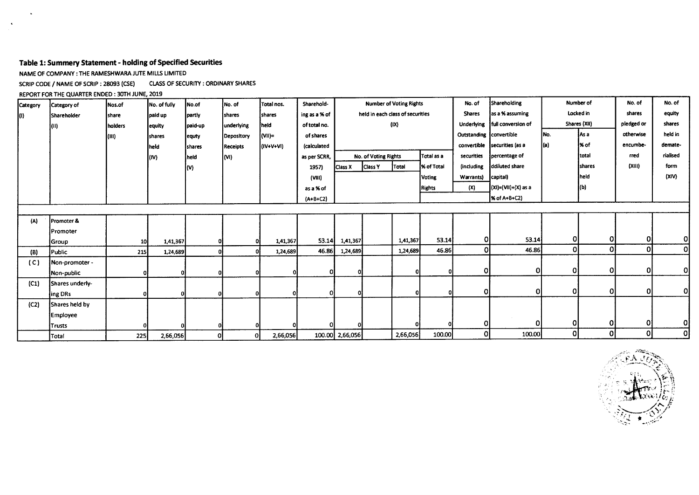# **Table 1: Summery Statement - holding of Specified Securities**

NAME OF COMPANY : THE RAMESHWARA JUTE MILLS LIMITED

SCRIP CODE / NAME OF SCRIP : 28093 (CSE) CLASS OF SECURITY : ORDINARY SHARES

REPORT FOR THE QUARTER ENDED: 30TH JUNE, 2019

| Category | Category of        | Nos.of  | No. of fully | No.of   | No. of          | Total nos. | Sharehold-     | <b>Number of Voting Rights</b> |                                       |                                  |               | No. of                  | Shareholding        |           | Number of     |             | No. of         |
|----------|--------------------|---------|--------------|---------|-----------------|------------|----------------|--------------------------------|---------------------------------------|----------------------------------|---------------|-------------------------|---------------------|-----------|---------------|-------------|----------------|
| KD.      | <b>Shareholder</b> | share   | paid up      | partly  | shares          | shares     | ing as a % of  |                                |                                       | held in each class of securities |               | <b>Shares</b>           | as a % assuming     | Locked in |               | shares      | equity         |
|          | (II)               | holders | equity       | paid-up | underlying      | held       | of total no.   |                                |                                       | (IX)                             |               | Underlying              | full conversion of  |           | Shares (XII)  | pledged or  | shares         |
|          |                    | (111)   | shares       | lequty  | Depository      | (VII)=     | of shares      |                                |                                       |                                  |               | Outstanding convertible |                     | INo.      | As a          | otherwise   | held in        |
|          |                    |         | held         | shares  | <b>Receipts</b> | (IV+V+VI)  | (calculated    |                                |                                       |                                  |               | convertible             | Isecurities (as a   |           | 1% of         | encumbe-    | demate-        |
|          |                    |         | (IV)         | held    | (M)             |            | as per SCRR,   |                                | No. of Voting Rights                  |                                  | Total as a    | securities              | percentage of       |           | <b>Itotal</b> | rred        | rialised       |
|          |                    |         |              | (V)     |                 |            | 1957)          | Class X                        | % of Total<br><b>Class Y</b><br>Total |                                  |               | (including              | ddiluted share      |           | <b>Shares</b> | (X11)       | form           |
|          |                    |         |              |         |                 |            | (VIII)         |                                |                                       |                                  | <b>Voting</b> | Warrants)               | capital)            |           | held          |             | (XIV)          |
|          |                    |         |              |         |                 |            | as a % of      |                                |                                       |                                  | <b>Rights</b> | (X)                     | (XI)=(VII)+(X) as a |           | (b)           |             |                |
|          |                    |         |              |         |                 |            | $(A + B + C2)$ |                                |                                       |                                  |               |                         | % of A+B+C2)        |           |               |             |                |
|          |                    |         |              |         |                 |            |                |                                |                                       |                                  |               |                         |                     |           |               |             |                |
| (A)      | Promoter &         |         |              |         |                 |            |                |                                |                                       |                                  |               |                         |                     |           |               |             |                |
|          | Promoter           |         |              |         |                 |            |                |                                |                                       |                                  |               |                         |                     |           |               |             |                |
|          | Group              | 10      | 1,41,367     |         |                 | 1,41,367   | 53.14          | 1,41,367                       |                                       | 1,41,367                         | 53.14         | 0I                      | 53.14               | οĮ        | Οl            | 0           | 0              |
| (B)      | Public             | 215     | 1,24,689     | ο       |                 | 1,24,689   | 46.86          | 1,24,689                       |                                       | 1,24,689                         | 46.86         | Οl                      | 46.86               | οl        | 0             | $\Omega$    | 0              |
| (C)      | Non-promoter -     |         |              |         |                 |            |                |                                |                                       |                                  |               |                         |                     |           |               |             |                |
|          | Non-public         |         | 01           |         |                 |            | οı             |                                |                                       | οı                               |               | 0                       | $\Omega$            | 01        | 0             | $\mathbf 0$ | Οl             |
| (C1)     | Shares underly-    |         |              |         |                 |            |                |                                |                                       |                                  |               |                         |                     |           |               |             |                |
|          | ing DRs            |         | 0            |         |                 |            | ΩI             |                                |                                       | οI                               |               | $\overline{0}$          | 0ì                  | 01        | $\Omega$      | 0           | <sub>0</sub>   |
| (C2)     | Shares held by     |         |              |         |                 |            |                |                                |                                       |                                  |               |                         |                     |           |               |             |                |
|          | Employee           |         |              |         |                 |            |                |                                |                                       |                                  |               |                         |                     |           |               |             |                |
|          | Trusts             |         |              |         |                 |            | ΩI             |                                |                                       |                                  |               | ΙO                      | $\Omega$            | ΟI        | 0             | Οl          | Οl             |
|          | Total              | 225     | 2,66,056     | Οl      | ΟI              | 2,66,056   |                | 100.00 2,66,056                |                                       | 2,66,056                         | 100.00        | 0l                      | 100.00              | Οl        | οl            | οl          | $\overline{0}$ |

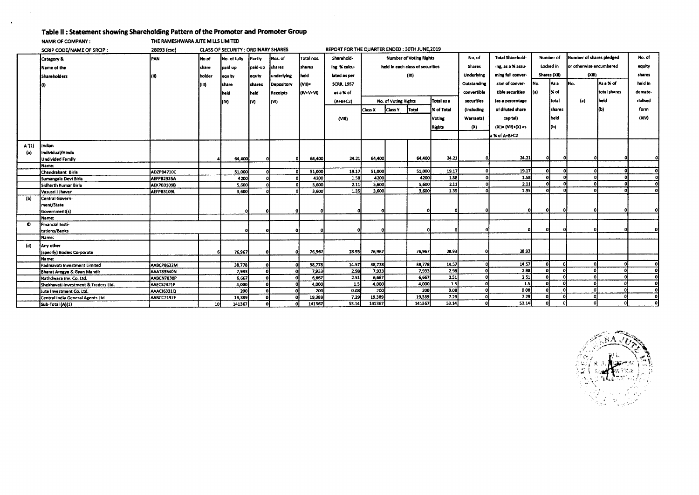# **Table II : Statement showing Shareholding Pattern of the Promoter and Promoter Group**

**NAMR OF COMPANY : THE RAMESHWARA JUTE MILLS LIMITED** 

 $\ddot{\phantom{1}}$ 

|           | SCRIP CODE/NAME OF SRCIP:            | 28093 (cse)       |        | CLASS OF SECURITY : ORDINARY SHARES |                |                   |               | REPORT FOR THE QUARTER ENDED: 30TH JUNE, 2019 |         |                                |                                  |                   |                          |                         |      |                     |                          |              |          |  |
|-----------|--------------------------------------|-------------------|--------|-------------------------------------|----------------|-------------------|---------------|-----------------------------------------------|---------|--------------------------------|----------------------------------|-------------------|--------------------------|-------------------------|------|---------------------|--------------------------|--------------|----------|--|
|           | Category &                           | PAN               | Mo.of  | No. of fully                        | Partiv         | Nos. of           | Total nos.    | Sharehold-                                    |         | <b>Number of Voting Rights</b> |                                  |                   |                          | <b>Total Sharehold-</b> |      | Number of           | Number of shares pledged |              | No. of   |  |
|           | Name of the                          |                   | Ishare | paid up                             | paid-up        | shares            | <b>shares</b> | ing % calcu-                                  |         |                                | held in each class of securities |                   | <b>Shares</b>            | ing, as a % assu-       |      | Locked in           | for otherwise encumbered |              | equity   |  |
|           | <b>Shareholders</b>                  |                   | holder | equity                              | leguty         | underlying        | <b>I</b> held | lated as per                                  |         |                                | (IX)                             |                   | Underlying               | ming full conver-       |      | <b>Shares (XII)</b> | (XIII)                   |              | shares   |  |
|           |                                      |                   | m      | share                               | <b>Ishares</b> | <b>Depository</b> | (VII)=        | <b>SCRR 1957</b>                              |         |                                |                                  |                   | Outstanding              | sion of conver-         | INo. | iAs a               | INo.                     | As a % of    | held in  |  |
|           |                                      |                   |        | held                                | held           | Receipts          | (IV+V+VI)     | as a % of                                     |         |                                |                                  |                   | convertible              | tible securities        | l(a) | l% of               |                          | total shares | demate-  |  |
|           |                                      |                   |        | (M                                  | l(V)           | (WI)              |               | $(A + B + C2)$                                |         | No. of Voting Rights           |                                  | Total as a        | securities               | (as a percentage        |      | total               | (a)                      | held         | rialised |  |
|           |                                      |                   |        |                                     |                |                   |               |                                               | Class X | <b>Class Y</b>                 | Total                            | <b>X</b> of Total | <i><b>lincluding</b></i> | of diluted share        |      | shares              |                          |              | form     |  |
|           |                                      |                   |        |                                     |                |                   |               | (VIII)                                        |         |                                |                                  | Voting            | <b>Warrants</b> )        | capital)                |      | held i              |                          |              | (XIV)    |  |
|           |                                      |                   |        |                                     |                |                   |               |                                               |         |                                |                                  |                   |                          |                         |      |                     |                          |              |          |  |
|           |                                      |                   |        |                                     |                |                   |               |                                               |         |                                |                                  | <b>Rights</b>     | (X)                      | (XI)= (VII)+(X) as      |      | I(b)                |                          |              |          |  |
|           |                                      |                   |        |                                     |                |                   |               |                                               |         |                                |                                  |                   |                          | a % of A+B+C2           |      |                     |                          |              |          |  |
| A'(1)     | indian                               |                   |        |                                     |                |                   |               |                                               |         |                                |                                  |                   |                          |                         |      |                     |                          |              |          |  |
| (a)       | individual/Hindu                     |                   |        |                                     |                |                   |               |                                               |         |                                |                                  |                   |                          |                         |      |                     |                          |              |          |  |
|           | Undivided Family                     |                   |        | 64,400                              |                | 0                 | 64,400        | 24.21                                         | 64,400  |                                | 64,400                           | 24.21             |                          | 24.21                   |      |                     |                          |              |          |  |
|           | Name:                                |                   |        |                                     |                |                   |               |                                               |         |                                |                                  |                   |                          |                         |      |                     |                          |              |          |  |
|           | Chandrakant Birla                    | ADZPB4710C        |        | 51,000                              |                |                   | 51,000        | 19.17                                         | 51,000  |                                | 51,000                           | 19.17             |                          | 19.17                   |      |                     |                          |              | ٥l       |  |
|           | Sumangala Devi Birla                 | AEFPB2335A        |        | 4200                                |                |                   | 4200          | 1.58                                          | 4200    |                                | 4200                             | 1.58              |                          | 1.58                    |      |                     |                          |              | Ωİ       |  |
|           | ÍSidharth Kumar Birla                | AEKPB3109B        |        | 5.600                               |                |                   | 5,600         | 2.11                                          | 5,600   |                                | 5,600                            | 2.11              |                          | 2.11                    |      |                     |                          |              | οl       |  |
|           | Vasusri † Jhaver                     | AEFPB3109L        |        | 3,600                               |                |                   | 3,600         | 1.35                                          | 3,600   |                                | 3.600                            | 1.35              |                          | 1.35                    | -0   |                     |                          |              | o        |  |
| (b)       | Central Govern-                      |                   |        |                                     |                |                   |               |                                               |         |                                |                                  |                   |                          |                         |      |                     |                          |              |          |  |
|           | ment/State                           |                   |        |                                     |                |                   |               |                                               |         |                                |                                  |                   |                          |                         |      |                     |                          |              |          |  |
|           | Government(s)                        |                   |        | ΩI                                  |                |                   |               |                                               |         |                                |                                  |                   |                          | o                       |      |                     |                          |              |          |  |
|           | Name:                                |                   |        |                                     |                |                   |               |                                               |         |                                |                                  |                   |                          |                         |      |                     |                          |              |          |  |
| $\bullet$ | Financial Insti-                     |                   |        |                                     |                |                   |               |                                               |         |                                |                                  |                   |                          |                         |      |                     |                          |              |          |  |
|           | tutions/Banks                        |                   |        |                                     |                |                   |               |                                               |         |                                |                                  |                   |                          |                         |      |                     |                          |              |          |  |
|           | Name:                                |                   |        |                                     |                |                   |               |                                               |         |                                |                                  |                   |                          |                         |      |                     |                          |              |          |  |
| (d)       | Any other                            |                   |        |                                     |                |                   |               |                                               |         |                                |                                  |                   |                          |                         |      |                     |                          |              |          |  |
|           | (specify) Bodies Corporate           |                   |        | 76,967                              |                |                   | 76,967        | 28.93                                         | 76,967  |                                | 76,967                           | 28.93             |                          | 28.93                   |      |                     |                          |              |          |  |
|           | Name:                                |                   |        |                                     |                |                   |               |                                               |         |                                |                                  |                   |                          |                         |      |                     |                          |              |          |  |
|           | Padmavati Investment Limited         | AABCP8632M        |        | 38,778                              |                |                   | 38,778        | 14.57                                         | 38,778  |                                | 38,778                           | 14.57             |                          | 14.57                   |      | n                   |                          |              |          |  |
|           | Bharat Arogya & Gyan Mandir          | <b>AAAT83540N</b> |        | 7,933                               |                |                   | 7,933         | 2.98                                          | 7,933   |                                | 7,933                            | 2.98              |                          | 2.98                    |      |                     |                          |              | οl       |  |
|           | Nathdwara inv. Co. Ltd.              | AABCN7830P        |        | 6,667                               |                |                   | 6,667         | 2.51                                          | 6,667   |                                | 6,667                            | 2.51              |                          | 2.51                    |      |                     |                          |              | ol       |  |
|           | Shekhavati Investment & Traders Ltd. | AAECS2321P        |        | 4,000                               |                |                   | 4,000         | 1.5                                           | 4,000   |                                | 4,000                            | 1.5               |                          | 1.5                     |      |                     |                          |              | ol       |  |
|           | Jute Investment Co. Ltd.             | AAACJ6331Q        |        | 200                                 |                |                   | 200           | 0.08                                          | 200     |                                | 200                              | 0.08              |                          | 0.08                    |      |                     |                          |              |          |  |
|           | Central India General Agents Ltd.    | AABCC2197E        |        | 19,389                              |                |                   | 19,389        | 7.29                                          | 19,389  |                                | 19,389                           | 7.29              |                          | 7.29                    |      |                     |                          |              | ٥ł       |  |
|           | Sub-Total (A)(1)                     |                   | 10     | 141367                              |                |                   | 141367        | 53.14                                         | 141367  |                                | 141367                           | 53.14             |                          | 53.14                   |      |                     |                          |              | o.       |  |

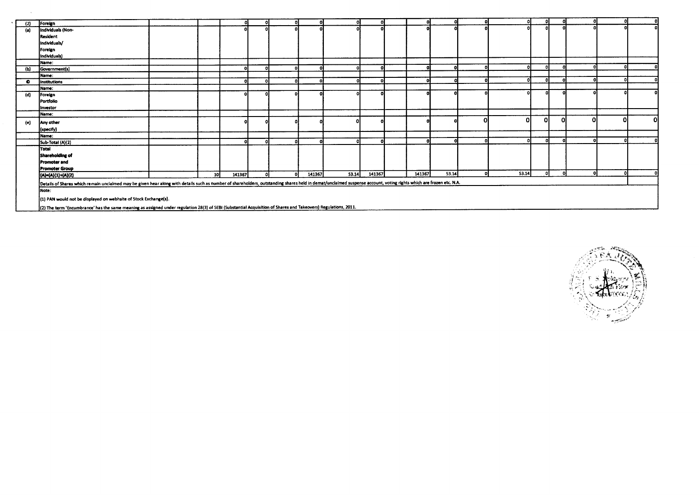| (2)       | Foreign                                                                                                                                                                                                             |                 |              |              |    |        |       |        |        |       | n.    | ol           | ΩI  | ΩI |    |   |
|-----------|---------------------------------------------------------------------------------------------------------------------------------------------------------------------------------------------------------------------|-----------------|--------------|--------------|----|--------|-------|--------|--------|-------|-------|--------------|-----|----|----|---|
| (a)       | Individuals (Non-                                                                                                                                                                                                   |                 |              |              |    |        |       |        |        |       |       |              |     |    |    |   |
|           | <b>Resident</b>                                                                                                                                                                                                     |                 |              |              |    |        |       |        |        |       |       |              |     |    |    |   |
|           | Individuals/                                                                                                                                                                                                        |                 |              |              |    |        |       |        |        |       |       |              |     |    |    |   |
|           | Foreign                                                                                                                                                                                                             |                 |              |              |    |        |       |        |        |       |       |              |     |    |    |   |
|           | Individuals)                                                                                                                                                                                                        |                 |              |              |    |        |       |        |        |       |       |              |     |    |    |   |
|           | Name:                                                                                                                                                                                                               |                 |              |              |    |        |       |        |        |       |       |              |     |    |    |   |
| (b)       | Government(s)                                                                                                                                                                                                       |                 | $\mathbf{r}$ | -a1          | n  |        |       |        |        |       |       |              |     |    |    |   |
|           | Name:                                                                                                                                                                                                               |                 |              |              |    |        |       |        |        |       |       |              |     |    |    |   |
| $\bullet$ | <b>Institutions</b>                                                                                                                                                                                                 |                 | n            | ΩI           |    |        |       |        |        |       |       | $\mathbf{a}$ |     |    |    |   |
|           | Name:                                                                                                                                                                                                               |                 |              |              |    |        |       |        |        |       |       |              |     |    |    |   |
| (d)       | Foreign                                                                                                                                                                                                             |                 |              |              |    |        |       |        |        |       |       |              |     |    |    |   |
|           | Portfolio                                                                                                                                                                                                           |                 |              |              |    |        |       |        |        |       |       |              |     |    |    |   |
|           | Investor                                                                                                                                                                                                            |                 |              |              |    |        |       |        |        |       |       |              |     |    |    |   |
|           | Name:                                                                                                                                                                                                               |                 |              |              |    |        |       |        |        |       |       |              |     |    |    |   |
| (e)       | Any other                                                                                                                                                                                                           |                 |              |              |    |        |       |        |        |       | ΩI    | Οl           | Ω   | വ  |    | Ω |
|           | (specify)                                                                                                                                                                                                           |                 |              |              |    |        |       |        |        |       |       |              |     |    |    |   |
|           | Name:                                                                                                                                                                                                               |                 |              |              |    |        |       |        |        |       |       |              |     |    |    |   |
|           | Sub-Total (A)(2)                                                                                                                                                                                                    |                 |              | $\mathbf{a}$ |    |        |       |        |        |       |       | Ωl           |     |    |    |   |
|           | <b>Total</b>                                                                                                                                                                                                        |                 |              |              |    |        |       |        |        |       |       |              |     |    |    |   |
|           | Shareholding of                                                                                                                                                                                                     |                 |              |              |    |        |       |        |        |       |       |              |     |    |    |   |
|           | Promoter and                                                                                                                                                                                                        |                 |              |              |    |        |       |        |        |       |       |              |     |    |    |   |
|           | <b>Promoter Group</b>                                                                                                                                                                                               |                 |              |              |    |        |       |        |        |       |       |              |     |    |    |   |
|           | (A)=(A)(1)+(A)(2)                                                                                                                                                                                                   | 10 <sup>1</sup> | 141367       | Ωŀ           | -n | 141367 | 53.14 | 141367 | 141367 | 53.14 | 53.14 | 01           | -ni | ol | -n |   |
|           | Details of Shares which remain unclaimed may be given hear along with details such as number of shareholders, outstanding shares held in demat/unclaimed suspense account, voting rights which are frozen etc. N.A. |                 |              |              |    |        |       |        |        |       |       |              |     |    |    |   |
|           | Note:                                                                                                                                                                                                               |                 |              |              |    |        |       |        |        |       |       |              |     |    |    |   |
|           | (1) PAN would not be displayed on webhsite of Stock Exchange(s).                                                                                                                                                    |                 |              |              |    |        |       |        |        |       |       |              |     |    |    |   |
|           |                                                                                                                                                                                                                     |                 |              |              |    |        |       |        |        |       |       |              |     |    |    |   |
|           | [(2) The term 'Encumbrance' has the same meaning as assigned under regulation 28(3) of SEBI (Substantial Acquisition of Shares and Takeovers) Regulations, 2011.                                                    |                 |              |              |    |        |       |        |        |       |       |              |     |    |    |   |

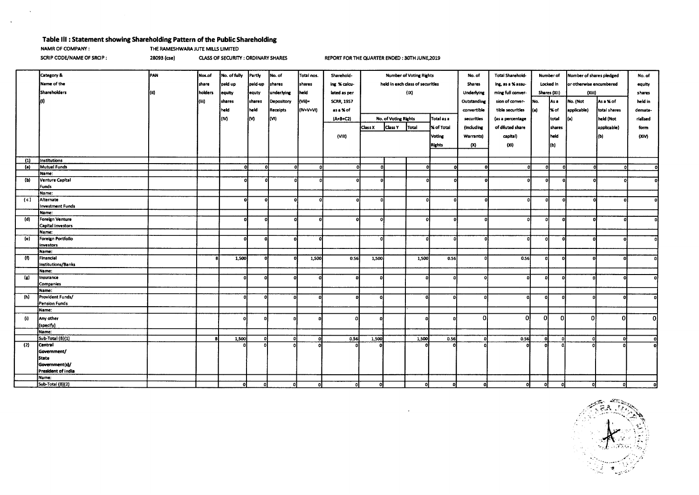## **Table Ill : Statement showing Shareholding Pattern of the Public Shareholding**

 $\sim$ 

 $\sim$ 

**NAMR OF COMPANY: THE RAMESHWARA JUTE MILLS LIMITED** 

**SCRIP CODE/NAME OF SRCIP : 28093 (cse)** CLASS OF SECURITY : ORDINARY SHARES REPORT FOR THE QUARTER ENDED : 30TH JUNE,2019

 $\mathcal{A}$ 

|                | Category &                | PAN  | Nos.of  | No. of fully   | Partly   | No. of          | Total nos. | Sharehold-        | <b>Number of Voting Rights</b>   |                      | No. of       | <b>Total Sharehold-</b> |             | Number of         | Number of shares pledged       |              | No. of                  |              |          |
|----------------|---------------------------|------|---------|----------------|----------|-----------------|------------|-------------------|----------------------------------|----------------------|--------------|-------------------------|-------------|-------------------|--------------------------------|--------------|-------------------------|--------------|----------|
|                | Name of the               |      | share   | paid up        | pald-up  | shares          | shares     | ing % calcu-      | held in each class of securities |                      |              | <b>Shares</b>           |             |                   | ing, as a % assu-<br>Locked in |              | or otherwise encumbered |              |          |
|                | Shareholders              | (ii) | holders | equity         | equty    | underlying      | held       | lated as per      |                                  | (IX)                 |              |                         | Underlying  | ming full conver- |                                | Shares (XII) | (Xiii)                  |              | shares   |
|                |                           |      | (iii)   | <b>Ishares</b> | shares   |                 | (Vii)=     | <b>SCRR, 1957</b> |                                  |                      |              |                         | Outstanding |                   | No.                            | As a         | No. (Not                | As a % of    | held in  |
|                |                           |      |         |                |          | Depository      |            |                   |                                  |                      |              |                         |             | sion of conver-   |                                |              |                         |              |          |
|                |                           |      |         | held           | held     | <b>Receipts</b> | (IV+V+VI)  | as a % of         |                                  |                      |              |                         | convertible | tible securities  | ł(a)                           | 1% of        | applicable)             | total shares | demate-  |
|                |                           |      |         | (M)            | M        | (VI)            |            | $(A + B + C2)$    |                                  | No. of Voting Rights |              | Total as a              | securities  | (as a percentage  |                                | total        | (a)                     | held (Not    | rialised |
|                |                           |      |         |                |          |                 |            |                   | Class X                          | <b>Class Y</b>       | Total        | % of Total              | (including  | of diluted share  |                                | shares       |                         | applicable)  | form     |
|                |                           |      |         |                |          |                 |            | (VIII)            |                                  |                      |              | <b>Voting</b>           | Warrants)   | capital)          |                                | held         |                         | (b)          | (XIV)    |
|                |                           |      |         |                |          |                 |            |                   |                                  |                      |              |                         |             |                   |                                |              |                         |              |          |
|                |                           |      |         |                |          |                 |            |                   |                                  |                      |              | <b>Rights</b>           | (X)         | (x)               |                                | (b)          |                         |              |          |
|                |                           |      |         |                |          |                 |            |                   |                                  |                      |              |                         |             |                   |                                |              |                         |              |          |
| (1)            | institutions              |      |         |                |          |                 |            |                   |                                  |                      |              |                         |             |                   |                                |              |                         |              |          |
| (a)            | Mutual Funds              |      |         | ٥ł             | $\Omega$ | -ol             | $\Omega$   | O.                | ol                               |                      | n.           | n                       | $\Omega$    | Ωİ                | $\Omega$                       |              |                         |              | o        |
|                | Name:                     |      |         |                |          |                 |            |                   |                                  |                      |              |                         |             |                   |                                |              |                         |              |          |
| (Ы)            | <b>Venture Capital</b>    |      |         |                |          |                 |            |                   |                                  |                      |              |                         |             |                   | O                              |              |                         |              |          |
|                | <b>Funds</b>              |      |         |                |          |                 |            |                   |                                  |                      |              |                         |             |                   |                                |              |                         |              |          |
|                | Name:<br>Alternate        |      |         | ٥l             |          | O               |            | ΩI                | οl                               |                      |              |                         |             | n.                | Ω                              | $\Omega$     |                         |              | ΩI       |
| (c)            | Investment Funds          |      |         |                |          |                 |            |                   |                                  |                      |              |                         |             |                   |                                |              |                         |              |          |
|                | Name:                     |      |         |                |          |                 |            |                   |                                  |                      |              |                         |             |                   |                                |              |                         |              |          |
| (d)            | Foreign Venture           |      |         | o              |          |                 |            |                   | പ                                |                      |              |                         |             | n                 |                                | n            |                         |              |          |
|                | Capital investors         |      |         |                |          |                 |            |                   |                                  |                      |              |                         |             |                   |                                |              |                         |              |          |
|                | Name:                     |      |         |                |          |                 |            |                   |                                  |                      |              |                         |             |                   |                                |              |                         |              |          |
| (e)            | Foreign Portfolio         |      |         | ΩI             |          | n               |            |                   |                                  |                      |              |                         |             |                   | $\mathbf{0}$                   | o            |                         |              |          |
|                | Investors                 |      |         |                |          |                 |            |                   |                                  |                      |              |                         |             |                   |                                |              |                         |              |          |
|                | Name:                     |      |         |                |          |                 |            |                   |                                  |                      |              |                         |             |                   |                                |              |                         |              |          |
| (f)            | Financial                 |      |         | 1,500          |          |                 | 1,500      | 0.56              | 1,500                            |                      | 1,500        | 0.56                    |             | 0.56              | o                              | ٥            |                         |              |          |
|                | Institutions/Banks        |      |         |                |          |                 |            |                   |                                  |                      |              |                         |             |                   |                                |              |                         |              |          |
|                | Name:                     |      |         |                |          |                 |            |                   |                                  |                      |              |                         |             |                   |                                |              |                         |              |          |
| $(\mathbf{g})$ | Insurance                 |      |         |                |          |                 |            |                   |                                  |                      | $\mathbf{a}$ |                         |             | n                 | οI                             | -ni          |                         |              |          |
|                | Companies                 |      |         |                |          |                 |            |                   |                                  |                      |              |                         |             |                   |                                |              |                         |              |          |
| (h)            | Name:<br>Provident Funds/ |      |         |                |          | n               |            |                   | $\mathbf{a}$                     |                      | o            |                         |             |                   |                                |              |                         |              |          |
|                | Pension Funds             |      |         |                |          |                 |            |                   |                                  |                      |              |                         |             | o                 | O.                             | n            |                         |              |          |
|                | Name:                     |      |         |                |          |                 |            |                   |                                  |                      |              |                         |             |                   |                                |              |                         |              |          |
|                |                           |      |         |                |          |                 |            |                   |                                  |                      |              |                         | 0i          | ΩI                |                                | Ωl           | $\Omega$                | $\Omega$     | ΩI       |
| (i)            | Any other                 |      |         |                |          |                 |            |                   |                                  |                      |              |                         |             |                   | o                              |              |                         |              |          |
|                | (specify)                 |      |         |                |          |                 |            |                   |                                  |                      |              |                         |             |                   |                                |              |                         |              |          |
|                | Name:<br>Sub-Total (B)(1) |      |         | 1,500          | n        | o               |            | 0.56              | 1,500                            |                      | 1,500        | 0.56                    |             | 0.56              |                                |              |                         |              |          |
| (2)            | Central                   |      |         |                |          |                 |            |                   |                                  |                      |              |                         |             |                   |                                |              |                         |              |          |
|                | Government/               |      |         |                |          |                 |            |                   |                                  |                      |              |                         |             |                   |                                |              |                         |              |          |
|                | <b>State</b>              |      |         |                |          |                 |            |                   |                                  |                      |              |                         |             |                   |                                |              |                         |              |          |
|                | Government(s)/            |      |         |                |          |                 |            |                   |                                  |                      |              |                         |             |                   |                                |              |                         |              |          |
|                | President of India        |      |         |                |          |                 |            |                   |                                  |                      |              |                         |             |                   |                                |              |                         |              |          |
|                | Name:                     |      |         |                |          |                 |            |                   |                                  |                      |              |                         |             |                   |                                |              |                         |              |          |
|                | Sub-Total (B)(2)          |      |         | ol             | $\Omega$ | οl              | o          | ٥I                | οI                               |                      | ol           |                         | ΩI          | οI                | -ot                            | -ol          | ΩL                      |              |          |

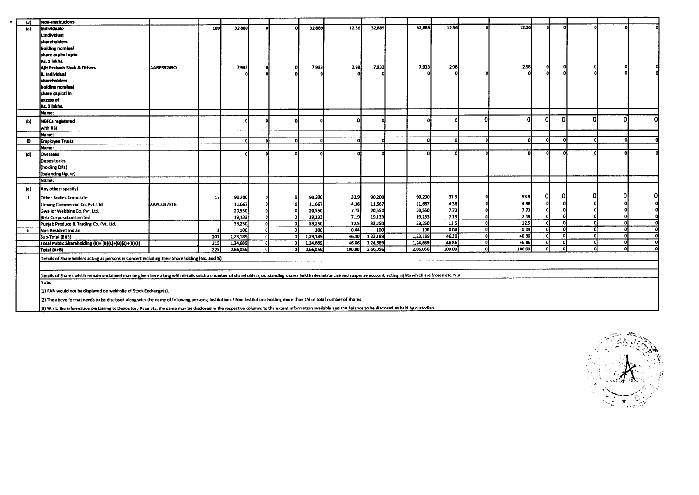| (3) | <b>Non-Institutions</b>                                                                                                                                                                                              |            |                  |              |    |          |        |          |          |        |   |        |          |     |    |   |   |
|-----|----------------------------------------------------------------------------------------------------------------------------------------------------------------------------------------------------------------------|------------|------------------|--------------|----|----------|--------|----------|----------|--------|---|--------|----------|-----|----|---|---|
| (a) | Individuals-                                                                                                                                                                                                         |            | 189              | 32,889       |    | 32,889   | 12.36  | 32,889   | 32,889   | 12.36  |   | 12.36  | n        | -ni |    |   |   |
|     | I.individual                                                                                                                                                                                                         |            |                  |              |    |          |        |          |          |        |   |        |          |     |    |   |   |
|     | shareholders                                                                                                                                                                                                         |            |                  |              |    |          |        |          |          |        |   |        |          |     |    |   |   |
|     | holding nominal                                                                                                                                                                                                      |            |                  |              |    |          |        |          |          |        |   |        |          |     |    |   |   |
|     | share capital upto                                                                                                                                                                                                   |            |                  |              |    |          |        |          |          |        |   |        |          |     |    |   |   |
|     | Rs. 2 lakhs.                                                                                                                                                                                                         |            |                  |              |    |          |        |          |          |        |   |        |          |     |    |   |   |
|     |                                                                                                                                                                                                                      | AANPS8249Q |                  | 7,933        |    | 7,933    | 2.98   | 7,933    | 7,933    | 2.98   |   | 2.98   | ٥        |     |    |   |   |
|     | Allt Prakash Shah & Others                                                                                                                                                                                           |            |                  |              |    |          |        |          |          |        |   |        | $\Omega$ |     |    |   |   |
|     | ii. Individual                                                                                                                                                                                                       |            |                  |              |    |          |        |          |          |        |   |        |          |     |    |   |   |
|     | shareholders                                                                                                                                                                                                         |            |                  |              |    |          |        |          |          |        |   |        |          |     |    |   |   |
|     | holding nominal                                                                                                                                                                                                      |            |                  |              |    |          |        |          |          |        |   |        |          |     |    |   |   |
|     | share capital in                                                                                                                                                                                                     |            |                  |              |    |          |        |          |          |        |   |        |          |     |    |   |   |
|     | excess of                                                                                                                                                                                                            |            |                  |              |    |          |        |          |          |        |   |        |          |     |    |   |   |
|     | Rs. 2 lakhs.                                                                                                                                                                                                         |            |                  |              |    |          |        |          |          |        |   |        |          |     |    |   |   |
|     | Name:                                                                                                                                                                                                                |            |                  |              |    |          |        |          |          |        |   |        |          |     |    |   |   |
| (b) | <b>NBFCs registered</b>                                                                                                                                                                                              |            |                  | o            |    |          |        |          |          |        | n | Ω      | ΟI       | ŋ   | ΩI | n | Ω |
|     | with RBI                                                                                                                                                                                                             |            |                  |              |    |          |        |          |          |        |   |        |          |     |    |   |   |
|     | Name:                                                                                                                                                                                                                |            |                  |              |    |          |        |          |          |        |   |        |          |     |    |   |   |
| ۰   | <b>Employee Trusts</b>                                                                                                                                                                                               |            |                  | $\mathbf{a}$ | n. | Ωl       |        | $\Omega$ |          |        |   |        | $\Omega$ |     | n  |   |   |
|     | Name:                                                                                                                                                                                                                |            |                  |              |    |          |        |          |          |        |   |        |          |     |    |   |   |
| (d) | Overseas                                                                                                                                                                                                             |            |                  | n            |    |          |        |          |          |        |   |        |          |     |    |   |   |
|     | <b>Depositories</b>                                                                                                                                                                                                  |            |                  |              |    |          |        |          |          |        |   |        |          |     |    |   |   |
|     | (holding DRs)                                                                                                                                                                                                        |            |                  |              |    |          |        |          |          |        |   |        |          |     |    |   |   |
|     | (balancing figure)                                                                                                                                                                                                   |            |                  |              |    |          |        |          |          |        |   |        |          |     |    |   |   |
|     | Name:                                                                                                                                                                                                                |            |                  |              |    |          |        |          |          |        |   |        |          |     |    |   |   |
| (e) | Any other (specify)                                                                                                                                                                                                  |            |                  |              |    |          |        |          |          |        |   |        |          |     |    |   |   |
|     | Other Bodies Corporate                                                                                                                                                                                               |            | 17               | 90,200       |    | 90,200   | 33.9   | 90,200   | 90,200   | 33.9   |   | 33.9   | Ω        |     |    |   |   |
|     | Umang Commercial Co. Pvt. Ltd.                                                                                                                                                                                       | AAACU3731B |                  | 11,667       |    | 11,667   | 4.38   | 11,667   | 11,667   | 4.38   |   | 4.38   |          |     |    |   |   |
|     | Gwalior Webbing Co. Pvt. Ltd.                                                                                                                                                                                        |            |                  | 20,550       |    | 20,550   | 7.73   | 20,550   | 20,550   | 7.73   |   | 7.73   | o        |     |    |   |   |
|     | <b>Birla Corporation Limited</b>                                                                                                                                                                                     |            |                  | 19,133       |    | 19.133   | 7.19   | 19,133   | 19,133   | 7.19   |   | 7.19   |          |     |    |   |   |
|     | Punjab Produce & Trading Co. Pvt. Ltd.                                                                                                                                                                               |            |                  | 33,250       |    | 33,250   | 12.5   | 33,250   | 33,250   | 12.5   |   | 12.5   | o        |     |    | n |   |
|     | Non Resident Indian                                                                                                                                                                                                  |            |                  | 100          |    | 100      | 0.04   | 100      | 100      | 0.04   | n | 0.04   | $\Omega$ |     |    |   |   |
|     | Sub-Total (B)(3)                                                                                                                                                                                                     |            | 207              | 1,23,189     |    | 1,23,189 | 46.30  | 1.23,189 | 1,23,189 | 46.30  |   | 46.30  | ി        |     |    |   |   |
|     | Total Public Shareholding (B)= (B)(1)+(B)(2)+(B)(3)                                                                                                                                                                  |            | 215              | 1,24,689     | o۱ | 1,24,689 | 46.86  | 1,24,689 | 1,24,689 | 46.86  | n | 46.86  |          |     |    |   |   |
|     | Total (A+B)                                                                                                                                                                                                          |            | $\overline{225}$ | 2,66,056     | ΛΙ | 2,66,056 | 100.00 | 2,66,056 | 2,66,056 | 100.00 | o | 100.00 | -0       |     |    |   |   |
|     | Details of Shareholders acting as persons in Concert including their Shareholding (No. and %)                                                                                                                        |            |                  |              |    |          |        |          |          |        |   |        |          |     |    |   |   |
|     |                                                                                                                                                                                                                      |            |                  |              |    |          |        |          |          |        |   |        |          |     |    |   |   |
|     |                                                                                                                                                                                                                      |            |                  |              |    |          |        |          |          |        |   |        |          |     |    |   |   |
|     | Details of Shares which remain unclaimed may be given here along with details suich as number of shareholders, outstanding shares held in demat/unclaimed suspense account, voting rights which are frozen etc. N.A. |            |                  |              |    |          |        |          |          |        |   |        |          |     |    |   |   |
|     | Note:                                                                                                                                                                                                                |            |                  |              |    |          |        |          |          |        |   |        |          |     |    |   |   |
|     | (1) PAN would not be displayed on webhsite of Stock Exchange(s).                                                                                                                                                     |            |                  |              |    |          |        |          |          |        |   |        |          |     |    |   |   |
|     | (2) The above format needs to be disclosed along with the name of following persons; Institutions / Non Institutions holding more than 1% of total number of shares.                                                 |            |                  |              |    |          |        |          |          |        |   |        |          |     |    |   |   |
|     | (3) W.r.t. the information pertaining to Depository Receipts, the same may be disclosed in the respective columns to the extent information available and the balance to be disclosed as held by custodian.          |            |                  |              |    |          |        |          |          |        |   |        |          |     |    |   |   |

 $\ddot{\phantom{1}}$